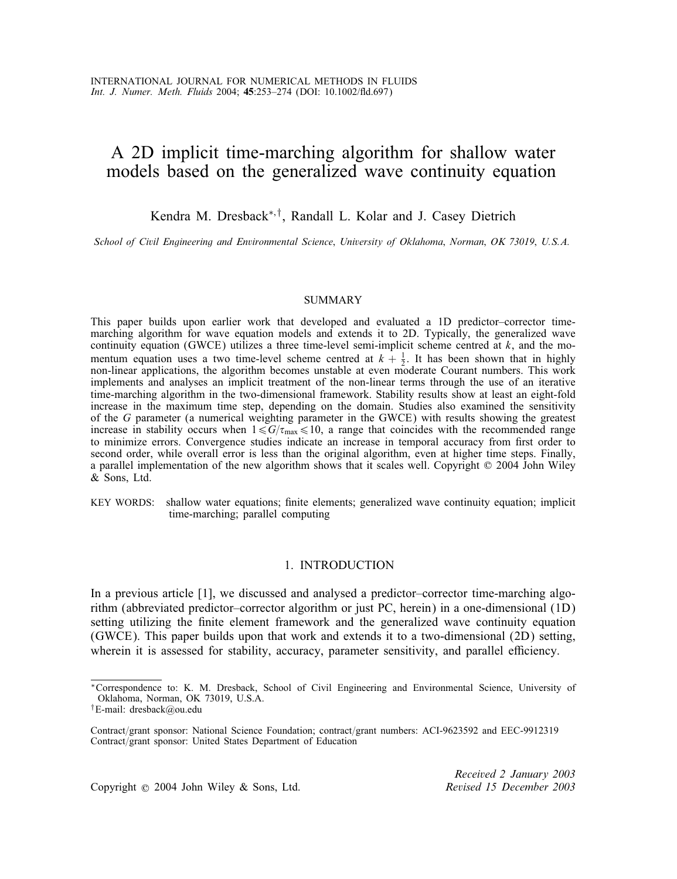# A 2D implicit time-marching algorithm for shallow water models based on the generalized wave continuity equation

## Kendra M. Dresback<sup>∗</sup>; † , Randall L. Kolar and J. Casey Dietrich

*School of Civil Engineering and Environmental Science*; *University of Oklahoma*; *Norman*; *OK 73019*; *U.S.A.*

#### **SUMMARY**

This paper builds upon earlier work that developed and evaluated a 1D predictor–corrector timemarching algorithm for wave equation models and extends it to 2D. Typically, the generalized wave continuity equation (GWCE) utilizes a three time-level semi-implicit scheme centred at  $k$ , and the momentum equation uses a two time-level scheme centred at  $k + \frac{1}{2}$ . It has been shown that in highly non-linear applications, the algorithm becomes unstable at even moderate Courant numbers. This work non-linear applications, the algorithm becomes unstable at even moderate Courant numbers. This work implements and analyses an implicit treatment of the non-linear terms through the use of an iterative time-marching algorithm in the two-dimensional framework. Stability results show at least an eight-fold increase in the maximum time step, depending on the domain. Studies also examined the sensitivity of the G parameter (a numerical weighting parameter in the GWCE) with results showing the greatest increase in stability occurs when  $1 \le G/\tau_{\text{max}} \le 10$ , a range that coincides with the recommended range to minimize errors. Convergence studies indicate an increase in temporal accuracy from first order to second order, while overall error is less than the original algorithm, even at higher time steps. Finally, a parallel implementation of the new algorithm shows that it scales well. Copyright © 2004 John Wiley & Sons, Ltd.

KEY WORDS: shallow water equations; finite elements; generalized wave continuity equation; implicit time-marching; parallel computing

## 1. INTRODUCTION

In a previous article [1], we discussed and analysed a predictor–corrector time-marching algorithm (abbreviated predictor–corrector algorithm or just PC, herein) in a one-dimensional (1D) setting utilizing the finite element framework and the generalized wave continuity equation (GWCE). This paper builds upon that work and extends it to a two-dimensional (2D) setting, wherein it is assessed for stability, accuracy, parameter sensitivity, and parallel efficiency.

Copyright ? 2004 John Wiley & Sons, Ltd. *Revised 15 December 2003*

*Received 2 January 2003*

<sup>∗</sup>Correspondence to: K. M. Dresback, School of Civil Engineering and Environmental Science, University of Oklahoma, Norman, OK 73019, U.S.A.

<sup>†</sup>E-mail: dresback@ou.edu

Contract/grant sponsor: National Science Foundation; contract/grant numbers: ACI-9623592 and EEC-9912319 Contract/grant sponsor: United States Department of Education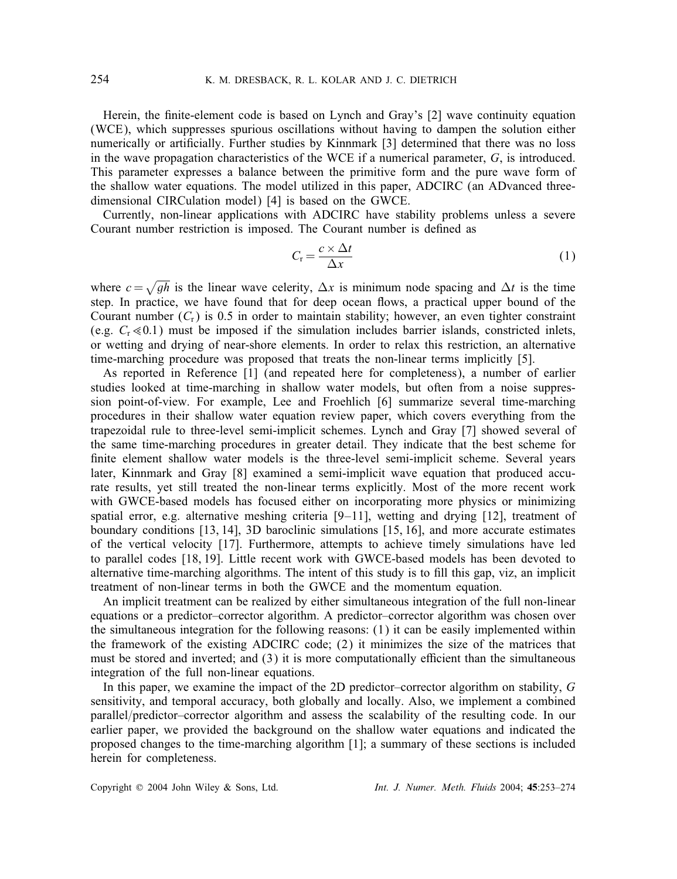Herein, the finite-element code is based on Lynch and Gray's [2] wave continuity equation (WCE), which suppresses spurious oscillations without having to dampen the solution either numerically or artificially. Further studies by Kinnmark [3] determined that there was no loss in the wave propagation characteristics of the WCE if a numerical parameter,  $G$ , is introduced. This parameter expresses a balance between the primitive form and the pure wave form of the shallow water equations. The model utilized in this paper, ADCIRC (an ADvanced threedimensional CIRCulation model) [4] is based on the GWCE.

Currently, non-linear applications with ADCIRC have stability problems unless a severe Courant number restriction is imposed. The Courant number is defined as

$$
C_{\rm r} = \frac{c \times \Delta t}{\Delta x} \tag{1}
$$

where  $c = \sqrt{gh}$  is the linear wave celerity,  $\Delta x$  is minimum node spacing and  $\Delta t$  is the time step. In practice, we have found that for deep ocean flows, a practical upper bound of the Courant number  $(C_r)$  is 0.5 in order to maintain stability; however, an even tighter constraint (e.g.  $C_r \le 0.1$ ) must be imposed if the simulation includes barrier islands, constricted inlets, or wetting and drying of near-shore elements. In order to relax this restriction, an alternative time-marching procedure was proposed that treats the non-linear terms implicitly [5].

As reported in Reference [1] (and repeated here for completeness), a number of earlier studies looked at time-marching in shallow water models, but often from a noise suppression point-of-view. For example, Lee and Froehlich [6] summarize several time-marching procedures in their shallow water equation review paper, which covers everything from the trapezoidal rule to three-level semi-implicit schemes. Lynch and Gray [7] showed several of the same time-marching procedures in greater detail. They indicate that the best scheme for finite element shallow water models is the three-level semi-implicit scheme. Several years later, Kinnmark and Gray [8] examined a semi-implicit wave equation that produced accurate results, yet still treated the non-linear terms explicitly. Most of the more recent work with GWCE-based models has focused either on incorporating more physics or minimizing spatial error, e.g. alternative meshing criteria  $[9-11]$ , wetting and drying  $[12]$ , treatment of boundary conditions [13, 14], 3D baroclinic simulations [15, 16], and more accurate estimates of the vertical velocity [17]. Furthermore, attempts to achieve timely simulations have led to parallel codes [18, 19]. Little recent work with GWCE-based models has been devoted to alternative time-marching algorithms. The intent of this study is to fill this gap, viz, an implicit treatment of non-linear terms in both the GWCE and the momentum equation.

An implicit treatment can be realized by either simultaneous integration of the full non-linear equations or a predictor–corrector algorithm. A predictor–corrector algorithm was chosen over the simultaneous integration for the following reasons: (1) it can be easily implemented within the framework of the existing ADCIRC code; (2) it minimizes the size of the matrices that must be stored and inverted; and  $(3)$  it is more computationally efficient than the simultaneous integration of the full non-linear equations.

In this paper, we examine the impact of the 2D predictor–corrector algorithm on stability, G sensitivity, and temporal accuracy, both globally and locally. Also, we implement a combined parallel/predictor–corrector algorithm and assess the scalability of the resulting code. In our earlier paper, we provided the background on the shallow water equations and indicated the proposed changes to the time-marching algorithm [1]; a summary of these sections is included herein for completeness.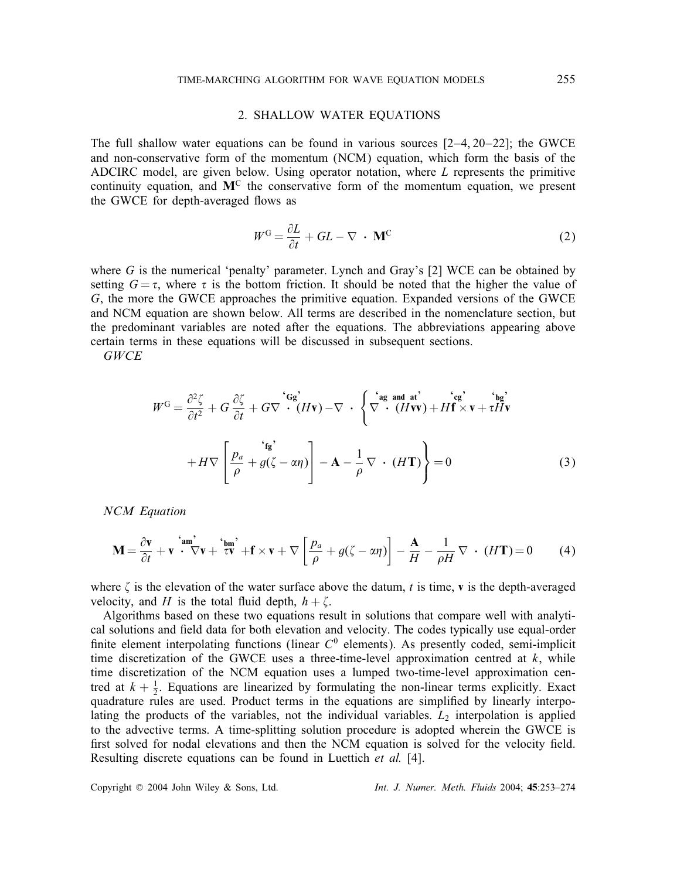### 2. SHALLOW WATER EQUATIONS

The full shallow water equations can be found in various sources  $[2-4, 20-22]$ ; the GWCE and non-conservative form of the momentum (NCM) equation, which form the basis of the ADCIRC model, are given below. Using operator notation, where L represents the primitive continuity equation, and  $M<sup>C</sup>$  the conservative form of the momentum equation, we present the GWCE for depth-averaged flows as

$$
W^{\rm G} = \frac{\partial L}{\partial t} + GL - \nabla \cdot \mathbf{M}^{\rm C}
$$
 (2)

where  $G$  is the numerical 'penalty' parameter. Lynch and Gray's  $[2]$  WCE can be obtained by setting  $G = \tau$ , where  $\tau$  is the bottom friction. It should be noted that the higher the value of G, the more the GWCE approaches the primitive equation. Expanded versions of the GWCE and NCM equation are shown below. All terms are described in the nomenclature section, but the predominant variables are noted after the equations. The abbreviations appearing above certain terms in these equations will be discussed in subsequent sections.

*GWCE*

$$
W^{G} = \frac{\partial^{2} \zeta}{\partial t^{2}} + G \frac{\partial \zeta}{\partial t} + G \nabla \cdot (H\mathbf{v}) - \nabla \cdot \left\{ \nabla \cdot (\mathbf{H}\mathbf{v}) + H\mathbf{f} \times \mathbf{v} + \tau H\mathbf{v} \right\}
$$
  
+ 
$$
H \nabla \left[ \frac{p_{a}}{\rho} + g(\zeta - \alpha \eta) \right] - \mathbf{A} - \frac{1}{\rho} \nabla \cdot (H\mathbf{T}) \right\} = 0
$$
 (3)

*NCM Equation*

$$
\mathbf{M} = \frac{\partial \mathbf{v}}{\partial t} + \mathbf{v} \stackrel{\text{'am'}}{\cdot} \nabla \mathbf{v} + \stackrel{\text{'bm'}}{\tau} \nabla \mathbf{v} + \mathbf{f} \times \mathbf{v} + \nabla \left[ \frac{p_a}{\rho} + g(\zeta - \alpha \eta) \right] - \frac{\mathbf{A}}{H} - \frac{1}{\rho H} \nabla \cdot (H\mathbf{T}) = 0 \tag{4}
$$

where  $\zeta$  is the elevation of the water surface above the datum, t is time, **v** is the depth-averaged velocity and H is the total fluid depth  $h + \zeta$ velocity, and H is the total fluid depth,  $h + \zeta$ .<br>Algorithms based on these two equations res

Algorithms based on these two equations result in solutions that compare well with analytical solutions and field data for both elevation and velocity. The codes typically use equal-order finite element interpolating functions (linear  $C^0$  elements). As presently coded, semi-implicit<br>time discretization of the GWCE uses a three-time-level approximation centred at k while time discretization of the GWCE uses a three-time-level approximation centred at  $k$ , while time discretization of the NCM equation uses a lumped two-time-level approximation centred at  $k + \frac{1}{2}$ . Equations are linearized by formulating the non-linear terms explicitly. Exact<br>quadrature rules are used. Product terms in the equations are simplified by linearly interpoquadrature rules are used. Product terms in the equations are simplified by linearly interpolating the products of the variables, not the individual variables.  $L<sub>2</sub>$  interpolation is applied to the advective terms. A time-splitting solution procedure is adopted wherein the GWCE is first solved for nodal elevations and then the NCM equation is solved for the velocity field. Resulting discrete equations can be found in Luettich *et al.* [4].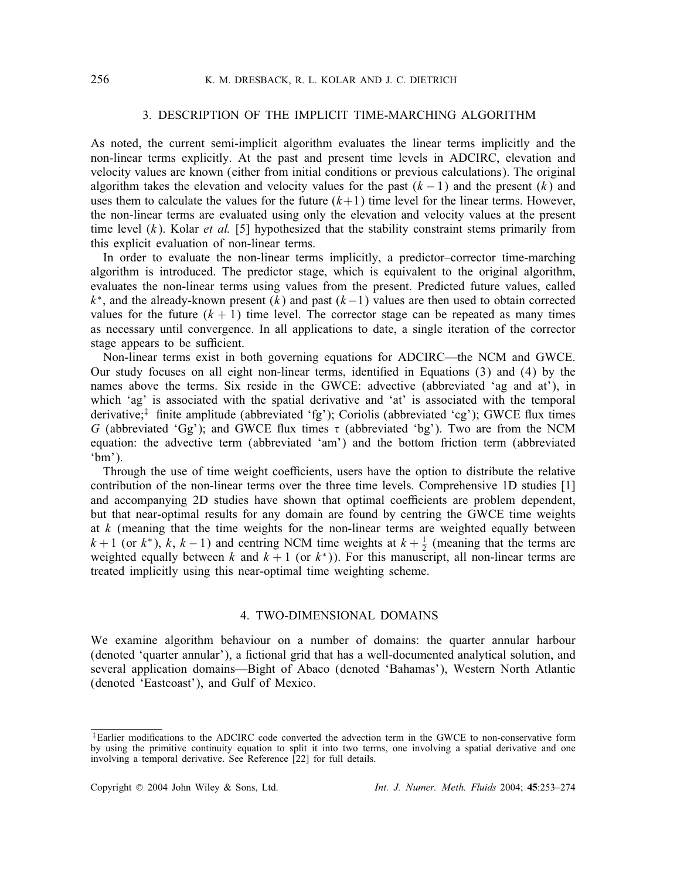## 3. DESCRIPTION OF THE IMPLICIT TIME-MARCHING ALGORITHM

As noted, the current semi-implicit algorithm evaluates the linear terms implicitly and the non-linear terms explicitly. At the past and present time levels in ADCIRC, elevation and velocity values are known (either from initial conditions or previous calculations). The original algorithm takes the elevation and velocity values for the past  $(k-1)$  and the present  $(k)$  and uses them to calculate the values for the future  $(k+1)$  time level for the linear terms. However, the non-linear terms are evaluated using only the elevation and velocity values at the present time level  $(k)$ . Kolar *et al.* [5] hypothesized that the stability constraint stems primarily from this explicit evaluation of non-linear terms.

In order to evaluate the non-linear terms implicitly, a predictor–corrector time-marching algorithm is introduced. The predictor stage, which is equivalent to the original algorithm, evaluates the non-linear terms using values from the present. Predicted future values, called  $k<sup>*</sup>$ , and the already-known present  $(k)$  and past  $(k-1)$  values are then used to obtain corrected values for the future  $(k + 1)$  time level. The corrector stage can be repeated as many times as necessary until convergence. In all applications to date, a single iteration of the corrector stage appears to be sufficient.

Non-linear terms exist in both governing equations for ADCIRC—the NCM and GWCE. Our study focuses on all eight non-linear terms, identified in Equations  $(3)$  and  $(4)$  by the names above the terms. Six reside in the GWCE: advective (abbreviated 'ag and at'), in which 'ag' is associated with the spatial derivative and 'at' is associated with the temporal derivative;<sup>†</sup> finite amplitude (abbreviated 'fg'); Coriolis (abbreviated 'cg'); GWCE flux times G (abbreviated 'Gg'); and GWCE flux times  $\tau$  (abbreviated 'bg'). Two are from the NCM equation: the advective term (abbreviated 'am') and the bottom friction term (abbreviated  $`bm$ ').

Through the use of time weight coefficients, users have the option to distribute the relative contribution of the non-linear terms over the three time levels. Comprehensive 1D studies [1] and accompanying 2D studies have shown that optimal coefficients are problem dependent, but that near-optimal results for any domain are found by centring the GWCE time weights at  $k$  (meaning that the time weights for the non-linear terms are weighted equally between k + 1 (or k<sup>∗</sup>), k, k − 1) and centring NCM time weights at  $k + \frac{1}{2}$  (meaning that the terms are weighted equally between k and  $k + 1$  (or  $k^*$ )). For this manuscript all non-linear terms are weighted equally between k and  $k + 1$  (or  $k<sup>*</sup>$ ). For this manuscript, all non-linear terms are treated implicitly using this near-optimal time weighting scheme.

## 4. TWO-DIMENSIONAL DOMAINS

We examine algorithm behaviour on a number of domains: the quarter annular harbour (denoted 'quarter annular'), a fictional grid that has a well-documented analytical solution, and several application domains—Bight of Abaco (denoted 'Bahamas'), Western North Atlantic (denoted 'Eastcoast'), and Gulf of Mexico.

 $\ddagger$ Earlier modifications to the ADCIRC code converted the advection term in the GWCE to non-conservative form by using the primitive continuity equation to split it into two terms, one involving a spatial derivative and one involving a temporal derivative. See Reference [22] for full details.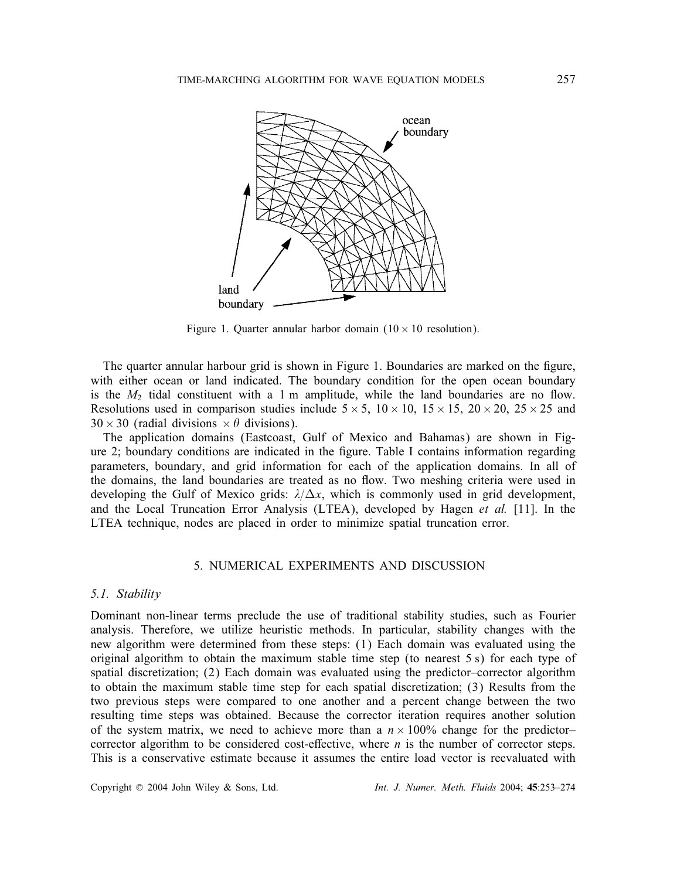

Figure 1. Quarter annular harbor domain  $(10 \times 10$  resolution).

The quarter annular harbour grid is shown in Figure 1. Boundaries are marked on the figure, with either ocean or land indicated. The boundary condition for the open ocean boundary is the  $M_2$  tidal constituent with a 1 m amplitude, while the land boundaries are no flow. Resolutions used in comparison studies include  $5 \times 5$ ,  $10 \times 10$ ,  $15 \times 15$ ,  $20 \times 20$ ,  $25 \times 25$  and  $30 \times 30$  (radial divisions  $\times \theta$  divisions).

The application domains (Eastcoast, Gulf of Mexico and Bahamas) are shown in Figure 2; boundary conditions are indicated in the figure. Table I contains information regarding parameters, boundary, and grid information for each of the application domains. In all of the domains, the land boundaries are treated as no flow. Two meshing criteria were used in developing the Gulf of Mexico grids:  $\lambda/\Delta x$ , which is commonly used in grid development, and the Local Truncation Error Analysis (LTEA), developed by Hagen *et al.* [11]. In the LTEA technique, nodes are placed in order to minimize spatial truncation error.

## 5. NUMERICAL EXPERIMENTS AND DISCUSSION

#### *5.1. Stability*

Dominant non-linear terms preclude the use of traditional stability studies, such as Fourier analysis. Therefore, we utilize heuristic methods. In particular, stability changes with the new algorithm were determined from these steps: (1) Each domain was evaluated using the original algorithm to obtain the maximum stable time step (to nearest 5 s) for each type of spatial discretization; (2) Each domain was evaluated using the predictor–corrector algorithm to obtain the maximum stable time step for each spatial discretization; (3) Results from the two previous steps were compared to one another and a percent change between the two resulting time steps was obtained. Because the corrector iteration requires another solution of the system matrix, we need to achieve more than a  $n \times 100\%$  change for the predictorcorrector algorithm to be considered cost-effective, where  $n$  is the number of corrector steps. This is a conservative estimate because it assumes the entire load vector is reevaluated with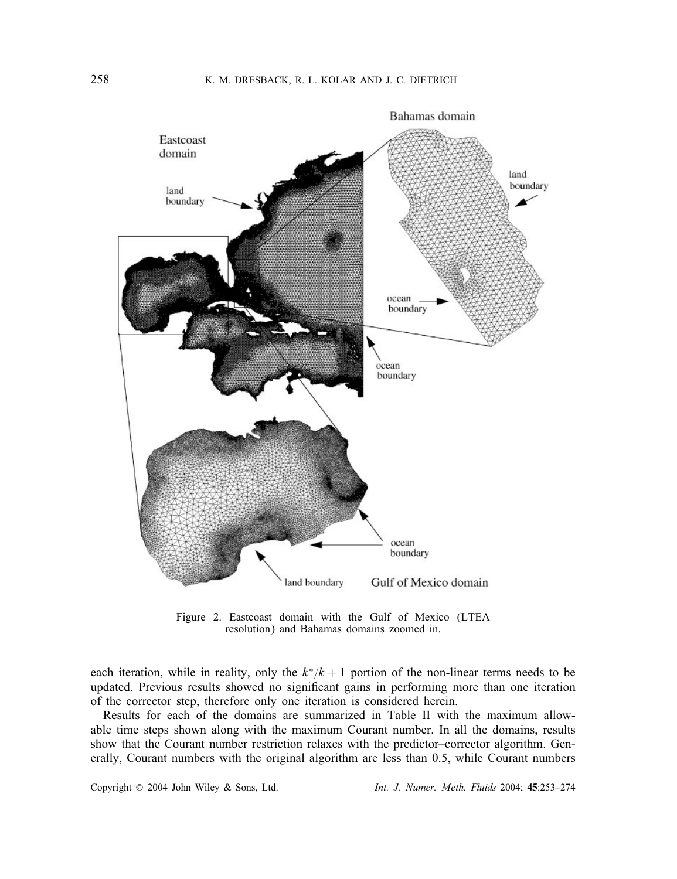

Figure 2. Eastcoast domain with the Gulf of Mexico (LTEA resolution) and Bahamas domains zoomed in.

each iteration, while in reality, only the  $k*/k + 1$  portion of the non-linear terms needs to be updated. Previous results showed no significant gains in performing more than one iteration of the corrector step, therefore only one iteration is considered herein.

Results for each of the domains are summarized in Table II with the maximum allowable time steps shown along with the maximum Courant number. In all the domains, results show that the Courant number restriction relaxes with the predictor–corrector algorithm. Generally, Courant numbers with the original algorithm are less than 0.5, while Courant numbers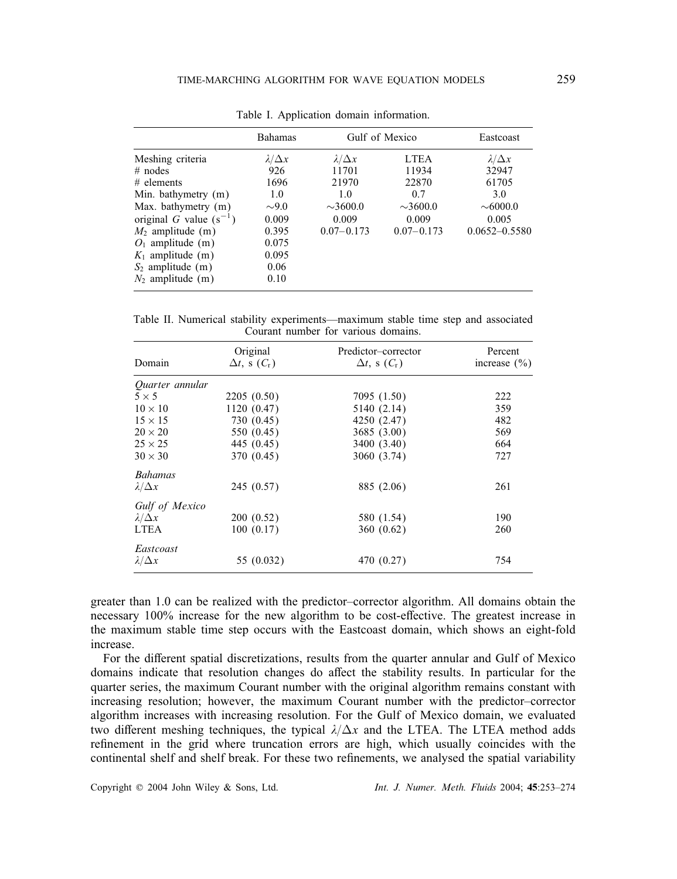|                             | <b>Bahamas</b>     |                    | Gulf of Mexico | Eastcoast          |
|-----------------------------|--------------------|--------------------|----------------|--------------------|
| Meshing criteria            | $\lambda/\Delta x$ | $\lambda/\Delta x$ | <b>LTEA</b>    | $\lambda/\Delta x$ |
| $#$ nodes                   | 926                | 11701              | 11934          | 32947              |
| $#$ elements                | 1696               | 21970              | 22870          | 61705              |
| Min. bathymetry (m)         | 1.0                | 1.0                | 0.7            | 3.0                |
| Max. bathymetry (m)         | $\sim 9.0$         | $\sim 3600.0$      | $\sim 3600.0$  | $\sim 6000.0$      |
| original G value $(s^{-1})$ | 0.009              | 0.009              | 0.009          | 0.005              |
| $M_2$ amplitude (m)         | 0.395              | $0.07 - 0.173$     | $0.07 - 0.173$ | $0.0652 - 0.5580$  |
| $O_1$ amplitude (m)         | 0.075              |                    |                |                    |
| $K_1$ amplitude (m)         | 0.095              |                    |                |                    |
| $S_2$ amplitude (m)         | 0.06               |                    |                |                    |
| $N_2$ amplitude (m)         | 0.10               |                    |                |                    |

Table I. Application domain information.

Table II. Numerical stability experiments—maximum stable time step and associated Courant number for various domains.

|                        | Original                     | Predictor-corrector          | Percent          |
|------------------------|------------------------------|------------------------------|------------------|
| Domain                 | $\Delta t$ , s $(C_{\rm r})$ | $\Delta t$ , s $(C_{\rm r})$ | increase $(\% )$ |
| <i>Ouarter annular</i> |                              |                              |                  |
| $5 \times 5$           | 2205(0.50)                   | 7095 (1.50)                  | 222              |
| $10 \times 10$         | 1120(0.47)                   | 5140 (2.14)                  | 359              |
| $15 \times 15$         | 730 (0.45)                   | 4250 (2.47)                  | 482              |
| $20 \times 20$         | 550 (0.45)                   | 3685 (3.00)                  | 569              |
| $25 \times 25$         | 445 (0.45)                   | 3400 (3.40)                  | 664              |
| $30 \times 30$         | 370 (0.45)                   | 3060 (3.74)                  | 727              |
| <b>Bahamas</b>         |                              |                              |                  |
| $\lambda/\Delta x$     | 245 (0.57)                   | 885 (2.06)                   | 261              |
| Gulf of Mexico         |                              |                              |                  |
| $\lambda/\Delta x$     | 200(0.52)                    | 580 (1.54)                   | 190              |
| <b>LTEA</b>            | 100(0.17)                    | 360(0.62)                    | 260              |
| Eastcoast              |                              |                              |                  |
| $\lambda/\Delta x$     | 55 (0.032)                   | 470 (0.27)                   | 754              |

greater than 1.0 can be realized with the predictor–corrector algorithm. All domains obtain the necessary 100% increase for the new algorithm to be cost-effective. The greatest increase in the maximum stable time step occurs with the Eastcoast domain, which shows an eight-fold increase.

For the different spatial discretizations, results from the quarter annular and Gulf of Mexico domains indicate that resolution changes do affect the stability results. In particular for the quarter series, the maximum Courant number with the original algorithm remains constant with increasing resolution; however, the maximum Courant number with the predictor–corrector algorithm increases with increasing resolution. For the Gulf of Mexico domain, we evaluated two different meshing techniques, the typical  $\lambda/\Delta x$  and the LTEA. The LTEA method adds refinement in the grid where truncation errors are high, which usually coincides with the continental shelf and shelf break. For these two refinements, we analysed the spatial variability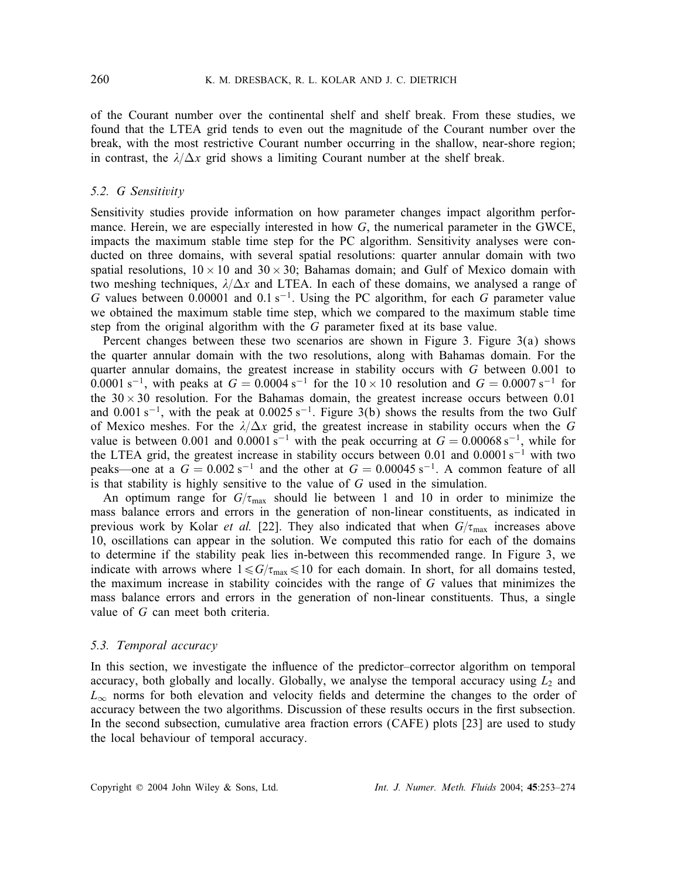of the Courant number over the continental shelf and shelf break. From these studies, we found that the LTEA grid tends to even out the magnitude of the Courant number over the break, with the most restrictive Courant number occurring in the shallow, near-shore region; in contrast, the  $\lambda/\Delta x$  grid shows a limiting Courant number at the shelf break.

#### *5.2. G Sensitivity*

Sensitivity studies provide information on how parameter changes impact algorithm performance. Herein, we are especially interested in how  $G$ , the numerical parameter in the GWCE, impacts the maximum stable time step for the PC algorithm. Sensitivity analyses were conducted on three domains, with several spatial resolutions: quarter annular domain with two spatial resolutions,  $10 \times 10$  and  $30 \times 30$ ; Bahamas domain; and Gulf of Mexico domain with two meshing techniques,  $\lambda/\Delta x$  and LTEA. In each of these domains, we analysed a range of G values between 0.00001 and 0.1 s<sup>-1</sup>. Using the PC algorithm, for each G parameter value we obtained the maximum stable time step, which we compared to the maximum stable time step from the original algorithm with the  $G$  parameter fixed at its base value.<br>Percent changes between these two scenarios are shown in Figure 3. Figure

Percent changes between these two scenarios are shown in Figure 3. Figure 3(a) shows the quarter annular domain with the two resolutions, along with Bahamas domain. For the quarter annular domains, the greatest increase in stability occurs with  $G$  between 0.001 to 0.0001 s<sup>-1</sup>, with peaks at  $G = 0.0004$  s<sup>-1</sup> for the  $10 \times 10$  resolution and  $G = 0.0007$  s<sup>-1</sup> for the  $30 \times 30$  resolution. For the Bahamas domain, the greatest increase occurs between 0.01 and 0.001 s<sup>-1</sup>, with the peak at 0.0025 s<sup>-1</sup>. Figure 3(b) shows the results from the two Gulf of Mexico meshes. For the  $\lambda/\Delta x$  grid, the greatest increase in stability occurs when the G value is between 0.001 and 0.0001 s<sup>−1</sup> with the peak occurring at  $G = 0.00068$  s<sup>−1</sup>, while for the LTEA grid, the greatest increase in stability occurs between 0.01 and 0.0001 s<sup>−1</sup> with two peaks—one at a  $G = 0.002$  s<sup>-1</sup> and the other at  $G = 0.00045$  s<sup>-1</sup>. A common feature of all is that stability is highly sensitive to the value of G used in the simulation.

An optimum range for  $G/\tau_{\text{max}}$  should lie between 1 and 10 in order to minimize the mass balance errors and errors in the generation of non-linear constituents, as indicated in previous work by Kolar *et al.* [22]. They also indicated that when  $G/\tau_{\text{max}}$  increases above 10, oscillations can appear in the solution. We computed this ratio for each of the domains to determine if the stability peak lies in-between this recommended range. In Figure 3, we indicate with arrows where  $1 \le G/\tau_{\text{max}} \le 10$  for each domain. In short, for all domains tested, the maximum increase in stability coincides with the range of  $G$  values that minimizes the mass balance errors and errors in the generation of non-linear constituents. Thus, a single value of G can meet both criteria.

## *5.3. Temporal accuracy*

In this section, we investigate the influence of the predictor–corrector algorithm on temporal accuracy, both globally and locally. Globally, we analyse the temporal accuracy using  $L_2$  and  $L_{\infty}$  norms for both elevation and velocity fields and determine the changes to the order of accuracy between the two algorithms. Discussion of these results occurs in the first subsection.  $L_{\infty}$  norms for both elevation and velocity fields and determine the changes to the order of In the second subsection, cumulative area fraction errors (CAFE) plots [23] are used to study the local behaviour of temporal accuracy.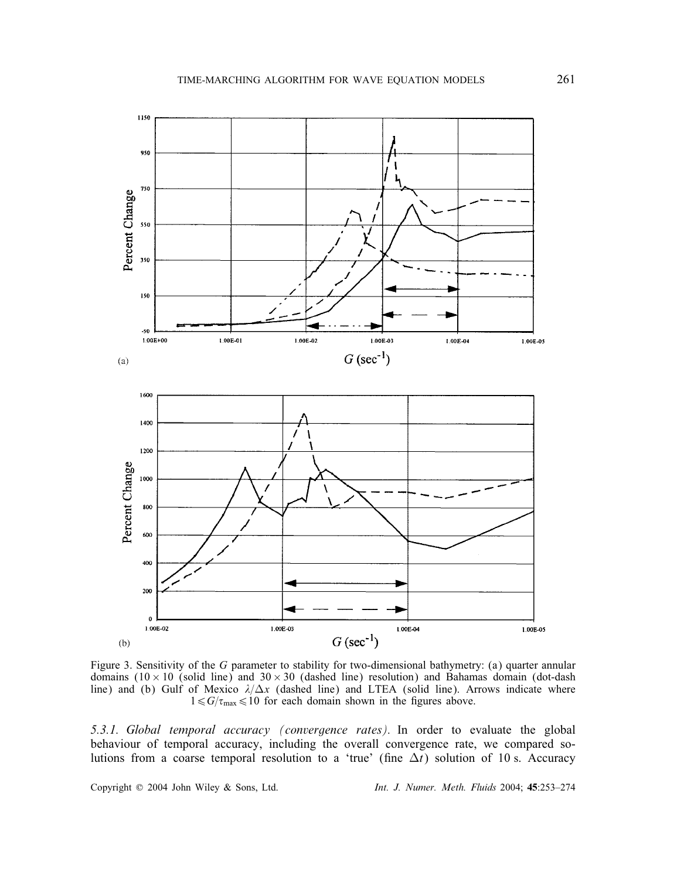

Figure 3. Sensitivity of the G parameter to stability for two-dimensional bathymetry: (a) quarter annular domains  $(10 \times 10$  (solid line) and 30 × 30 (dashed line) resolution) and Bahamas domain (dot-dash line) and (b) Gulf of Mexico  $\lambda/\Delta x$  (dashed line) and LTEA (solid line). Arrows indicate where  $1 \le G/\tau_{\text{max}} \le 10$  for each domain shown in the figures above.

*5.3.1. Global temporal accuracy (convergence rates).* In order to evaluate the global behaviour of temporal accuracy, including the overall convergence rate, we compared solutions from a coarse temporal resolution to a 'true' (fine  $\Delta t$ ) solution of 10 s. Accuracy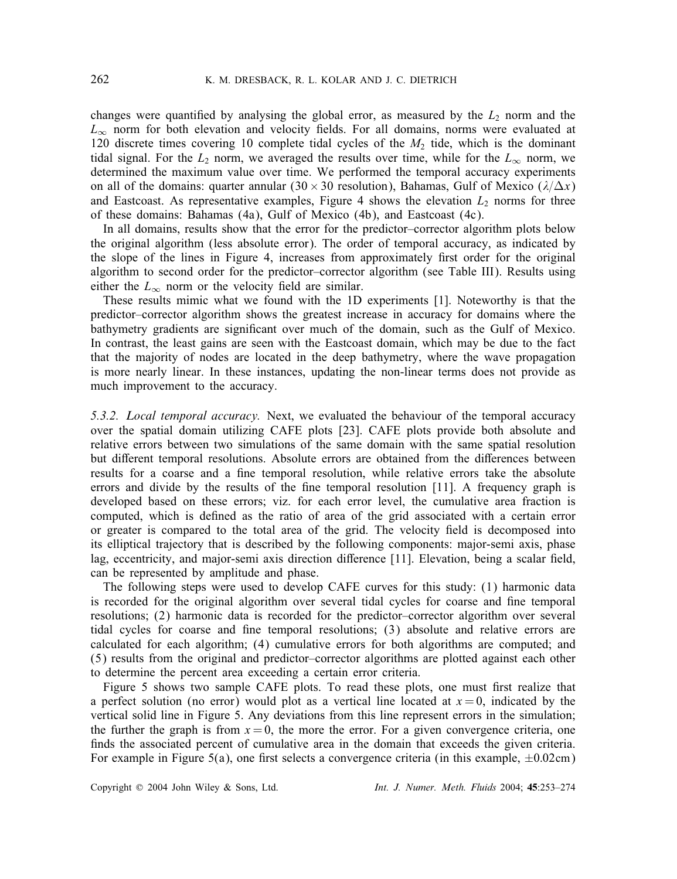changes were quantified by analysing the global error, as measured by the  $L_2$  norm and the  $L_1$  norm for both elevation and velocity fields. For all domains norms were evaluated at  $L_{\infty}$  norm for both elevation and velocity fields. For all domains, norms were evaluated at 120 discrete times covering 10 complete tidal cycles of the  $M_2$  tide, which is the dominant 120 discrete times covering 10 complete tidal cycles of the  $M_2$  tide, which is the dominant tidal signal. For the  $L_2$  norm, we averaged the results over time, while for the  $L_{\infty}$  norm, we determined the maximum value over time. We performed the temporal accuracy experiments on all of the domains: quarter annular (30 × 30 resolution), Bahamas, Gulf of Mexico ( $\lambda/\Delta x$ ) and Eastcoast. As representative examples, Figure 4 shows the elevation  $L_2$  norms for three of these domains: Bahamas (4a), Gulf of Mexico (4b), and Eastcoast (4c).

In all domains, results show that the error for the predictor–corrector algorithm plots below the original algorithm (less absolute error). The order of temporal accuracy, as indicated by the slope of the lines in Figure 4, increases from approximately first order for the original algorithm to second order for the predictor–corrector algorithm (see Table III). Results using either the  $L_{\infty}$  norm or the velocity field are similar.<br>These results mimic what we found with the 1D

These results mimic what we found with the 1D experiments [1]. Noteworthy is that the predictor–corrector algorithm shows the greatest increase in accuracy for domains where the bathymetry gradients are significant over much of the domain, such as the Gulf of Mexico. In contrast, the least gains are seen with the Eastcoast domain, which may be due to the fact that the majority of nodes are located in the deep bathymetry, where the wave propagation is more nearly linear. In these instances, updating the non-linear terms does not provide as much improvement to the accuracy.

*5.3.2. Local temporal accuracy.* Next, we evaluated the behaviour of the temporal accuracy over the spatial domain utilizing CAFE plots [23]. CAFE plots provide both absolute and relative errors between two simulations of the same domain with the same spatial resolution but different temporal resolutions. Absolute errors are obtained from the differences between results for a coarse and a fine temporal resolution, while relative errors take the absolute errors and divide by the results of the fine temporal resolution  $[11]$ . A frequency graph is developed based on these errors; viz. for each error level, the cumulative area fraction is computed, which is defined as the ratio of area of the grid associated with a certain error or greater is compared to the total area of the grid. The velocity field is decomposed into its elliptical trajectory that is described by the following components: major-semi axis, phase lag, eccentricity, and major-semi axis direction difference [11]. Elevation, being a scalar field, can be represented by amplitude and phase.

The following steps were used to develop CAFE curves for this study: (1) harmonic data is recorded for the original algorithm over several tidal cycles for coarse and fine temporal resolutions; (2) harmonic data is recorded for the predictor–corrector algorithm over several tidal cycles for coarse and fine temporal resolutions; (3) absolute and relative errors are calculated for each algorithm; (4) cumulative errors for both algorithms are computed; and (5) results from the original and predictor–corrector algorithms are plotted against each other to determine the percent area exceeding a certain error criteria.

Figure 5 shows two sample CAFE plots. To read these plots, one must first realize that a perfect solution (no error) would plot as a vertical line located at  $x = 0$ , indicated by the vertical solid line in Figure 5. Any deviations from this line represent errors in the simulation; the further the graph is from  $x = 0$ , the more the error. For a given convergence criteria, one finds the associated percent of cumulative area in the domain that exceeds the given criteria. For example in Figure 5(a), one first selects a convergence criteria (in this example,  $\pm 0.02$ cm)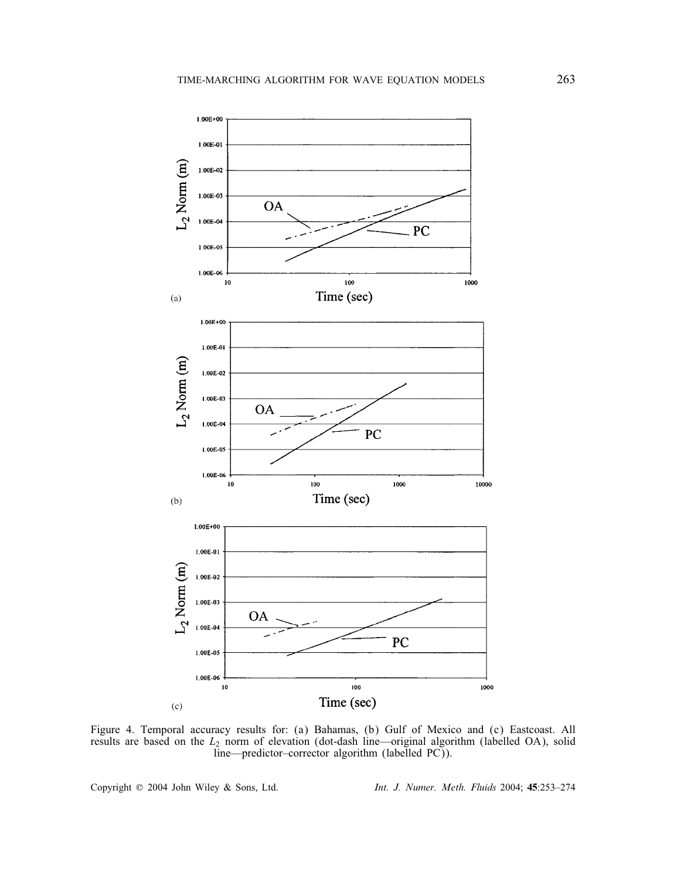

Figure 4. Temporal accuracy results for: (a) Bahamas, (b) Gulf of Mexico and (c) Eastcoast. All results are based on the  $L_2$  norm of elevation (dot-dash line—original algorithm (labelled OA), solid line—predictor–corrector algorithm (labelled PC)).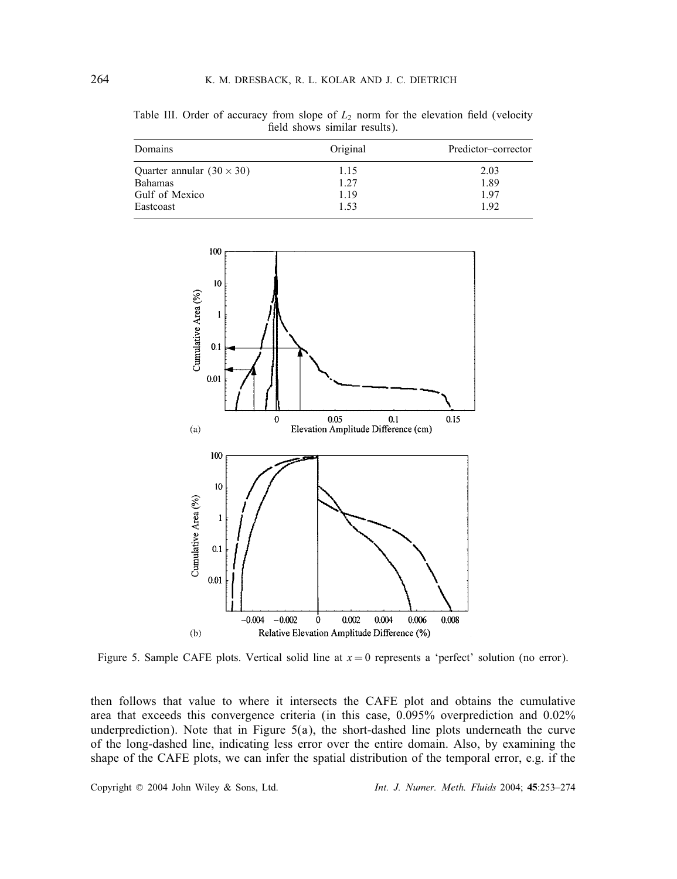Table III. Order of accuracy from slope of  $L_2$  norm for the elevation field (velocity field shows similar results). field shows similar results).

| Domains                          | Original | Predictor-corrector |  |
|----------------------------------|----------|---------------------|--|
| Quarter annular $(30 \times 30)$ | 1.15     | 2.03                |  |
| <b>Bahamas</b>                   | 1.27     | 1.89                |  |
| Gulf of Mexico                   | 1.19     | 1.97                |  |
| Eastcoast                        | 1.53     | 1.92                |  |



Figure 5. Sample CAFE plots. Vertical solid line at  $x = 0$  represents a 'perfect' solution (no error).

then follows that value to where it intersects the CAFE plot and obtains the cumulative area that exceeds this convergence criteria (in this case, 0.095% overprediction and 0.02% underprediction). Note that in Figure  $5(a)$ , the short-dashed line plots underneath the curve of the long-dashed line, indicating less error over the entire domain. Also, by examining the shape of the CAFE plots, we can infer the spatial distribution of the temporal error, e.g. if the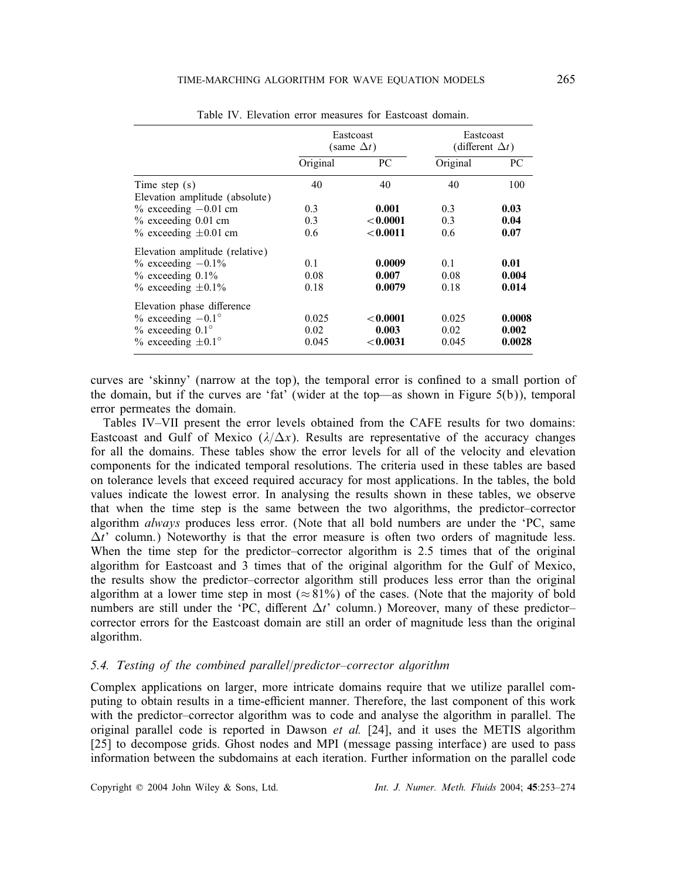|                                                   | Eastcoast<br>(same $\Delta t$ ) |              | Eastcoast<br>(different $\Delta t$ ) |        |
|---------------------------------------------------|---------------------------------|--------------|--------------------------------------|--------|
|                                                   | Original                        | PC.          | Original                             | PС     |
| Time step $(s)$<br>Elevation amplitude (absolute) | 40                              | 40           | 40                                   | 100    |
| $\%$ exceeding $-0.01$ cm                         | 0.3                             | 0.001        | 0.3                                  | 0.03   |
| $%$ exceeding 0.01 cm                             | 0.3                             | < 0.0001     | 0.3                                  | 0.04   |
| $\%$ exceeding $\pm 0.01$ cm                      | 0.6                             | < 0.0011     | 0.6                                  | 0.07   |
| Elevation amplitude (relative)                    |                                 |              |                                      |        |
| $\%$ exceeding $-0.1\%$                           | 0.1                             | 0.0009       | 0.1                                  | 0.01   |
| $%$ exceeding 0.1%                                | 0.08                            | 0.007        | 0.08                                 | 0.004  |
| $\%$ exceeding $\pm 0.1\%$                        | 0.18                            | 0.0079       | 0.18                                 | 0.014  |
| Elevation phase difference                        |                                 |              |                                      |        |
| $\%$ exceeding $-0.1^{\circ}$                     | 0.025                           | < 0.0001     | 0.025                                | 0.0008 |
| $\%$ exceeding 0.1 $\degree$                      | 0.02                            | 0.003        | 0.02                                 | 0.002  |
| $\%$ exceeding $\pm 0.1^{\circ}$                  | 0.045                           | $<$ $0.0031$ | 0.045                                | 0.0028 |

Table IV. Elevation error measures for Eastcoast domain.

curves are 'skinny' (narrow at the top), the temporal error is confined to a small portion of the domain, but if the curves are 'fat' (wider at the top—as shown in Figure 5(b)), temporal error permeates the domain.

Tables IV–VII present the error levels obtained from the CAFE results for two domains: Eastcoast and Gulf of Mexico  $(\lambda/\Delta x)$ . Results are representative of the accuracy changes for all the domains. These tables show the error levels for all of the velocity and elevation components for the indicated temporal resolutions. The criteria used in these tables are based on tolerance levels that exceed required accuracy for most applications. In the tables, the bold values indicate the lowest error. In analysing the results shown in these tables, we observe that when the time step is the same between the two algorithms, the predictor–corrector algorithm *always* produces less error. (Note that all bold numbers are under the 'PC, same  $\Delta t'$  column.) Noteworthy is that the error measure is often two orders of magnitude less. When the time step for the predictor–corrector algorithm is 2.5 times that of the original algorithm for Eastcoast and 3 times that of the original algorithm for the Gulf of Mexico, the results show the predictor–corrector algorithm still produces less error than the original algorithm at a lower time step in most ( $\approx 81\%$ ) of the cases. (Note that the majority of bold numbers are still under the 'PC, different  $\Delta t$ ' column.) Moreover, many of these predictorcorrector errors for the Eastcoast domain are still an order of magnitude less than the original algorithm.

## 5.4. Testing of the combined parallel/predictor–corrector algorithm

Complex applications on larger, more intricate domains require that we utilize parallel computing to obtain results in a time-efficient manner. Therefore, the last component of this work with the predictor–corrector algorithm was to code and analyse the algorithm in parallel. The original parallel code is reported in Dawson *et al.* [24], and it uses the METIS algorithm [25] to decompose grids. Ghost nodes and MPI (message passing interface) are used to pass information between the subdomains at each iteration. Further information on the parallel code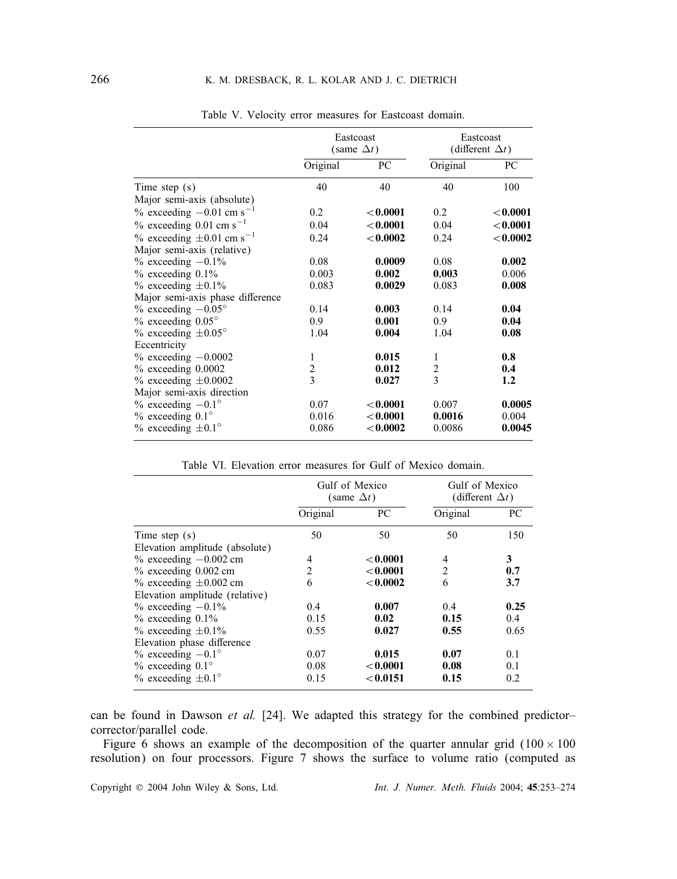|                                              | Eastcoast<br>(same $\Delta t$ ) |             | Eastcoast<br>(different $\Delta t$ ) |             |
|----------------------------------------------|---------------------------------|-------------|--------------------------------------|-------------|
|                                              | Original                        | PC          | Original                             | PC          |
| Time step $(s)$                              | 40                              | 40          | 40                                   | 100         |
| Major semi-axis (absolute)                   |                                 |             |                                      |             |
| $\%$ exceeding $-0.01$ cm s <sup>-1</sup>    | 0.2                             | ${<}0.0001$ | 0.2                                  | ${<}0.0001$ |
| $\%$ exceeding 0.01 cm s <sup>-1</sup>       | 0.04                            | < 0.0001    | 0.04                                 | < 0.0001    |
| $\%$ exceeding $\pm 0.01$ cm s <sup>-1</sup> | 0.24                            | < 0.0002    | 0.24                                 | < 0.0002    |
| Major semi-axis (relative)                   |                                 |             |                                      |             |
| $\%$ exceeding $-0.1\%$                      | 0.08                            | 0.0009      | 0.08                                 | 0.002       |
| $%$ exceeding 0.1%                           | 0.003                           | 0.002       | 0.003                                | 0.006       |
| $%$ exceeding $\pm 0.1\%$                    | 0.083                           | 0.0029      | 0.083                                | 0.008       |
| Major semi-axis phase difference             |                                 |             |                                      |             |
| $\%$ exceeding $-0.05^{\circ}$               | 0.14                            | 0.003       | 0.14                                 | 0.04        |
| $%$ exceeding 0.05 $^{\circ}$                | 0.9                             | 0.001       | 0.9                                  | 0.04        |
| $\%$ exceeding $\pm 0.05^{\circ}$            | 1.04                            | 0.004       | 1.04                                 | 0.08        |
| Eccentricity                                 |                                 |             |                                      |             |
| $\%$ exceeding $-0.0002$                     | 1                               | 0.015       | 1                                    | 0.8         |
| $%$ exceeding $0.0002$                       | 2                               | 0.012       | 2                                    | 0.4         |
| $\%$ exceeding $\pm 0.0002$                  | 3                               | 0.027       | 3                                    | 1.2         |
| Major semi-axis direction                    |                                 |             |                                      |             |
| $\%$ exceeding $-0.1^{\circ}$                | 0.07                            | ${<}0.0001$ | 0.007                                | 0.0005      |
| $\%$ exceeding 0.1 $\degree$                 | 0.016                           | < 0.0001    | 0.0016                               | 0.004       |
| $\%$ exceeding $\pm 0.1^{\circ}$             | 0.086                           | < 0.0002    | 0.0086                               | 0.0045      |

Table V. Velocity error measures for Eastcoast domain.

Table VI. Elevation error measures for Gulf of Mexico domain.

|                                  | Gulf of Mexico<br>(same $\Delta t$ ) |             | Gulf of Mexico<br>(different $\Delta t$ ) |      |
|----------------------------------|--------------------------------------|-------------|-------------------------------------------|------|
|                                  | Original                             | PC          | Original                                  | PC.  |
| Time step $(s)$                  | 50                                   | 50          | 50                                        | 150  |
| Elevation amplitude (absolute)   |                                      |             |                                           |      |
| $\%$ exceeding $-0.002$ cm       | 4                                    | ${<}0.0001$ | 4                                         | 3    |
| $%$ exceeding $0.002$ cm         | $\overline{c}$                       | < 0.0001    | $\overline{c}$                            | 0.7  |
| $\%$ exceeding $\pm 0.002$ cm    | 6                                    | < 0.0002    | 6                                         | 3.7  |
| Elevation amplitude (relative)   |                                      |             |                                           |      |
| $\%$ exceeding $-0.1\%$          | 0.4                                  | 0.007       | 0.4                                       | 0.25 |
| $%$ exceeding 0.1%               | 0.15                                 | 0.02        | 0.15                                      | 0.4  |
| $%$ exceeding $\pm 0.1\%$        | 0.55                                 | 0.027       | 0.55                                      | 0.65 |
| Elevation phase difference       |                                      |             |                                           |      |
| $\%$ exceeding $-0.1^{\circ}$    | 0.07                                 | 0.015       | 0.07                                      | 0.1  |
| $%$ exceeding 0.1 $^{\circ}$     | 0.08                                 | < 0.0001    | 0.08                                      | 0.1  |
| $\%$ exceeding $\pm 0.1^{\circ}$ | 0.15                                 | < 0.0151    | 0.15                                      | 0.2  |

can be found in Dawson *et al.* [24]. We adapted this strategy for the combined predictor– corrector/parallel code.

Figure 6 shows an example of the decomposition of the quarter annular grid  $(100 \times 100$ resolution) on four processors. Figure 7 shows the surface to volume ratio (computed as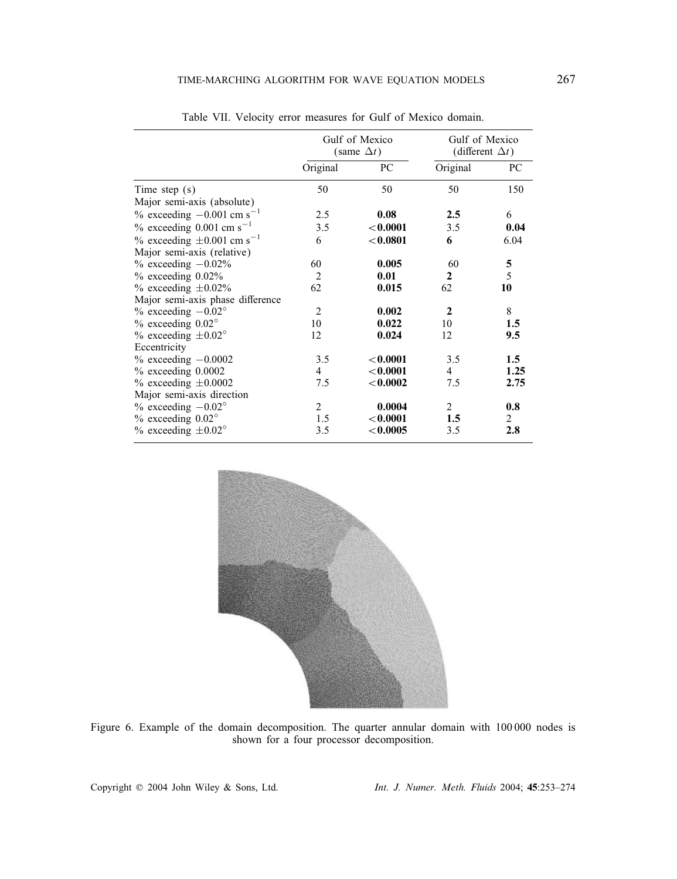|                                               | Gulf of Mexico<br>(same $\Delta t$ ) |             | Gulf of Mexico<br>(different $\Delta t$ ) |                |
|-----------------------------------------------|--------------------------------------|-------------|-------------------------------------------|----------------|
|                                               | Original                             | PC          | Original                                  | PC             |
| Time step $(s)$                               | 50                                   | 50          | 50                                        | 150            |
| Major semi-axis (absolute)                    |                                      |             |                                           |                |
| $\%$ exceeding $-0.001$ cm s <sup>-1</sup>    | 2.5                                  | 0.08        | 2.5                                       | 6              |
| $\%$ exceeding 0.001 cm s <sup>-1</sup>       | 3.5                                  | ${<}0.0001$ | 3.5                                       | 0.04           |
| $\%$ exceeding $\pm 0.001$ cm s <sup>-1</sup> | 6                                    | < 0.0801    | 6                                         | 6.04           |
| Major semi-axis (relative)                    |                                      |             |                                           |                |
| $%$ exceeding $-0.02\%$                       | 60                                   | 0.005       | 60                                        |                |
| $%$ exceeding $0.02\%$                        | 2                                    | 0.01        | $\mathbf{2}$                              | $\frac{5}{5}$  |
| $\%$ exceeding $\pm 0.02\%$                   | 62                                   | 0.015       | 62                                        | 10             |
| Major semi-axis phase difference              |                                      |             |                                           |                |
| $\%$ exceeding $-0.02^{\circ}$                | $\mathfrak{D}_{\mathfrak{p}}$        | 0.002       | $\mathbf{2}$                              | 8              |
| $\%$ exceeding 0.02 $^{\circ}$                | 10                                   | 0.022       | 10                                        | 1.5            |
| % exceeding $\pm 0.02^{\circ}$                | 12                                   | 0.024       | 12                                        | 9.5            |
| Eccentricity                                  |                                      |             |                                           |                |
| $\%$ exceeding $-0.0002$                      | 3.5                                  | < 0.0001    | 3.5                                       | 1.5            |
| $%$ exceeding $0.0002$                        | 4                                    | ${<}0.0001$ | 4                                         | 1.25           |
| $\%$ exceeding $\pm 0.0002$                   | 7.5                                  | ${<}0.0002$ | 7.5                                       | 2.75           |
| Major semi-axis direction                     |                                      |             |                                           |                |
| $\%$ exceeding $-0.02^{\circ}$                | 2                                    | 0.0004      | $\overline{2}$                            | 0.8            |
| $%$ exceeding $0.02^{\circ}$                  | 1.5                                  | < 0.0001    | 1.5                                       | $\overline{2}$ |
| $\%$ exceeding $\pm 0.02^{\circ}$             | 3.5                                  | < 0.0005    | 3.5                                       | 2.8            |

Table VII. Velocity error measures for Gulf of Mexico domain.



Figure 6. Example of the domain decomposition. The quarter annular domain with 100 000 nodes is shown for a four processor decomposition.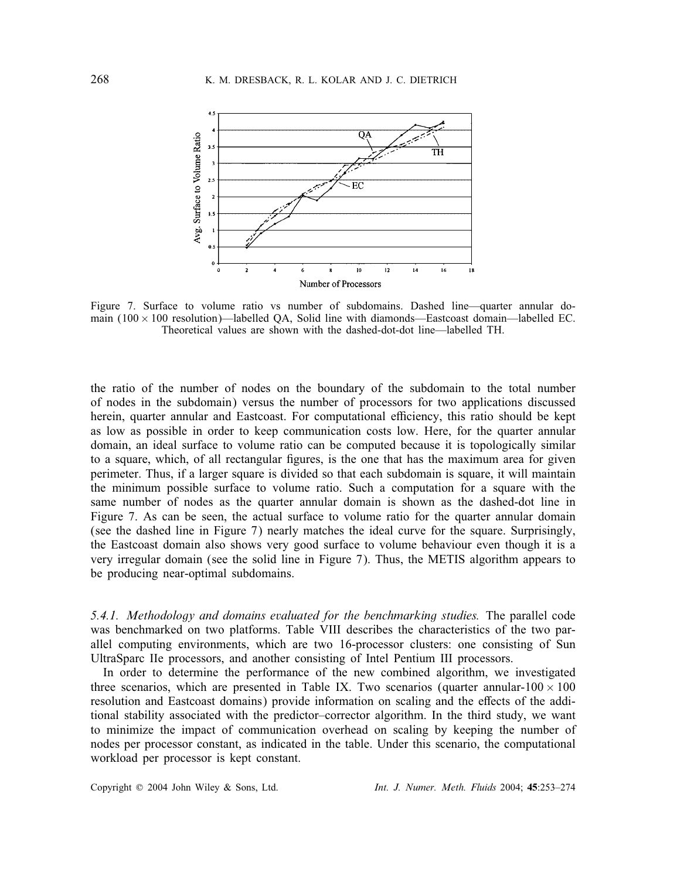

Figure 7. Surface to volume ratio vs number of subdomains. Dashed line—quarter annular domain  $(100 \times 100$  resolution)—labelled QA, Solid line with diamonds—Eastcoast domain—labelled EC. Theoretical values are shown with the dashed-dot-dot line—labelled TH.

the ratio of the number of nodes on the boundary of the subdomain to the total number of nodes in the subdomain) versus the number of processors for two applications discussed herein, quarter annular and Eastcoast. For computational efficiency, this ratio should be kept as low as possible in order to keep communication costs low. Here, for the quarter annular domain, an ideal surface to volume ratio can be computed because it is topologically similar to a square, which, of all rectangular figures, is the one that has the maximum area for given perimeter. Thus, if a larger square is divided so that each subdomain is square, it will maintain the minimum possible surface to volume ratio. Such a computation for a square with the same number of nodes as the quarter annular domain is shown as the dashed-dot line in Figure 7. As can be seen, the actual surface to volume ratio for the quarter annular domain (see the dashed line in Figure 7) nearly matches the ideal curve for the square. Surprisingly, the Eastcoast domain also shows very good surface to volume behaviour even though it is a very irregular domain (see the solid line in Figure 7). Thus, the METIS algorithm appears to be producing near-optimal subdomains.

*5.4.1. Methodology and domains evaluated for the benchmarking studies.* The parallel code was benchmarked on two platforms. Table VIII describes the characteristics of the two parallel computing environments, which are two 16-processor clusters: one consisting of Sun UltraSparc IIe processors, and another consisting of Intel Pentium III processors.

In order to determine the performance of the new combined algorithm, we investigated three scenarios, which are presented in Table IX. Two scenarios (quarter annular-100  $\times$  100 resolution and Eastcoast domains) provide information on scaling and the effects of the additional stability associated with the predictor–corrector algorithm. In the third study, we want to minimize the impact of communication overhead on scaling by keeping the number of nodes per processor constant, as indicated in the table. Under this scenario, the computational workload per processor is kept constant.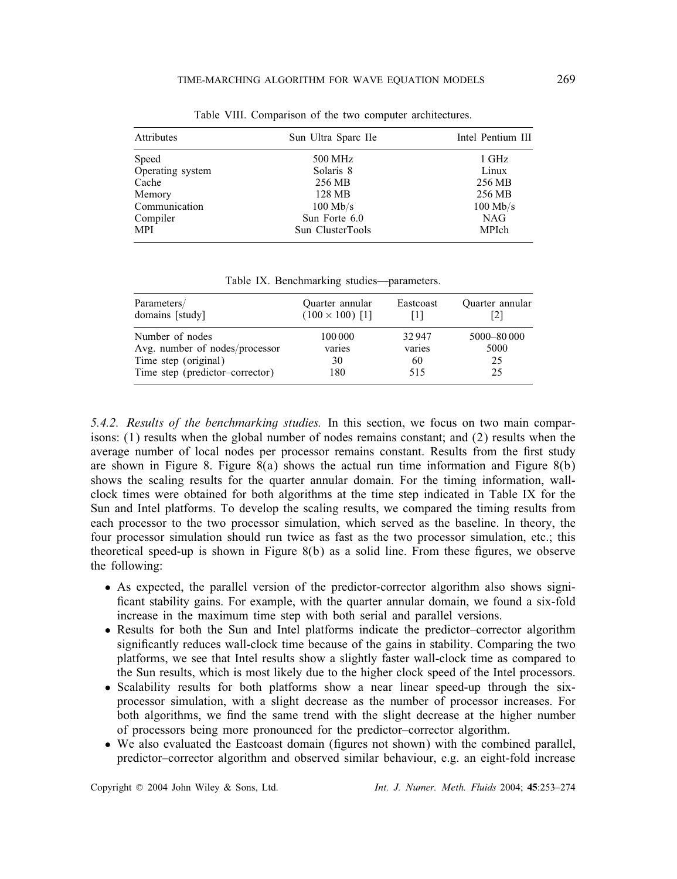| Attributes       | Sun Ultra Sparc IIe | Intel Pentium III |
|------------------|---------------------|-------------------|
| Speed            | 500 MHz             | 1 GHz             |
| Operating system | Solaris 8           | Linux             |
| Cache            | 256 MB              | 256 MB            |
| Memory           | 128 MB              | 256 MB            |
| Communication    | $100$ Mb/s          | $100$ Mb/s        |
| Compiler         | Sun Forte 6.0       | NAG               |
| MPI              | Sun ClusterTools    | MPIch             |

Table VIII. Comparison of the two computer architectures.

Table IX. Benchmarking studies—parameters.

| Parameters/<br>domains [study]  | Quarter annular<br>$(100 \times 100)$ [1] | Eastcoast | Quarter annular |
|---------------------------------|-------------------------------------------|-----------|-----------------|
| Number of nodes                 | 100 000                                   | 32947     | 5000-80 000     |
| Avg. number of nodes/processor  | varies                                    | varies    | 5000            |
| Time step (original)            | 30                                        | 60        | 25              |
| Time step (predictor-corrector) | 180                                       | 515       | 25              |

*5.4.2. Results of the benchmarking studies.* In this section, we focus on two main comparisons: (1) results when the global number of nodes remains constant; and (2) results when the average number of local nodes per processor remains constant. Results from the first study are shown in Figure 8. Figure 8(a) shows the actual run time information and Figure 8(b) shows the scaling results for the quarter annular domain. For the timing information, wallclock times were obtained for both algorithms at the time step indicated in Table IX for the Sun and Intel platforms. To develop the scaling results, we compared the timing results from each processor to the two processor simulation, which served as the baseline. In theory, the four processor simulation should run twice as fast as the two processor simulation, etc.; this theoretical speed-up is shown in Figure  $8(b)$  as a solid line. From these figures, we observe the following:

- As expected, the parallel version of the predictor-corrector algorithm also shows signi ficant stability gains. For example, with the quarter annular domain, we found a six-fold increase in the maximum time step with both serial and parallel versions.
- Results for both the Sun and Intel platforms indicate the predictor–corrector algorithm significantly reduces wall-clock time because of the gains in stability. Comparing the two platforms, we see that Intel results show a slightly faster wall-clock time as compared to the Sun results, which is most likely due to the higher clock speed of the Intel processors.
- Scalability results for both platforms show a near linear speed-up through the sixprocessor simulation, with a slight decrease as the number of processor increases. For both algorithms, we find the same trend with the slight decrease at the higher number of processors being more pronounced for the predictor–corrector algorithm.
- We also evaluated the Eastcoast domain (figures not shown) with the combined parallel, predictor–corrector algorithm and observed similar behaviour, e.g. an eight-fold increase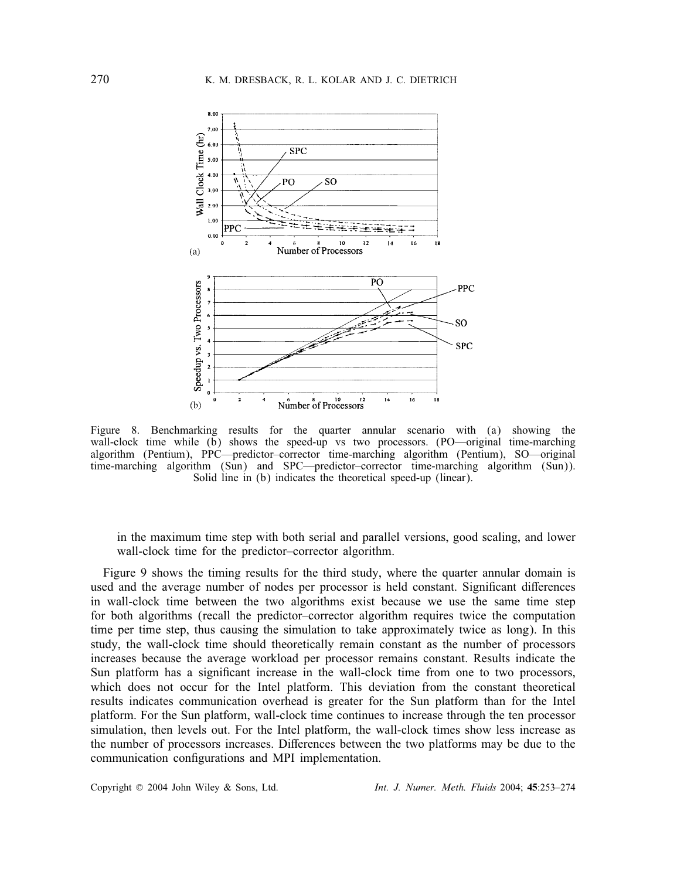

Figure 8. Benchmarking results for the quarter annular scenario with (a) showing the wall-clock time while  $(b)$  shows the speed-up vs two processors. (PO—original time-marching algorithm (Pentium), PPC—predictor–corrector time-marching algorithm (Pentium), SO—original time-marching algorithm (Sun) and SPC—predictor–corrector time-marching algorithm (Sun)). Solid line in (b) indicates the theoretical speed-up (linear).

in the maximum time step with both serial and parallel versions, good scaling, and lower wall-clock time for the predictor–corrector algorithm.

Figure 9 shows the timing results for the third study, where the quarter annular domain is used and the average number of nodes per processor is held constant. Significant differences in wall-clock time between the two algorithms exist because we use the same time step for both algorithms (recall the predictor–corrector algorithm requires twice the computation time per time step, thus causing the simulation to take approximately twice as long). In this study, the wall-clock time should theoretically remain constant as the number of processors increases because the average workload per processor remains constant. Results indicate the Sun platform has a significant increase in the wall-clock time from one to two processors, which does not occur for the Intel platform. This deviation from the constant theoretical results indicates communication overhead is greater for the Sun platform than for the Intel platform. For the Sun platform, wall-clock time continues to increase through the ten processor simulation, then levels out. For the Intel platform, the wall-clock times show less increase as the number of processors increases. Differences between the two platforms may be due to the communication configurations and MPI implementation.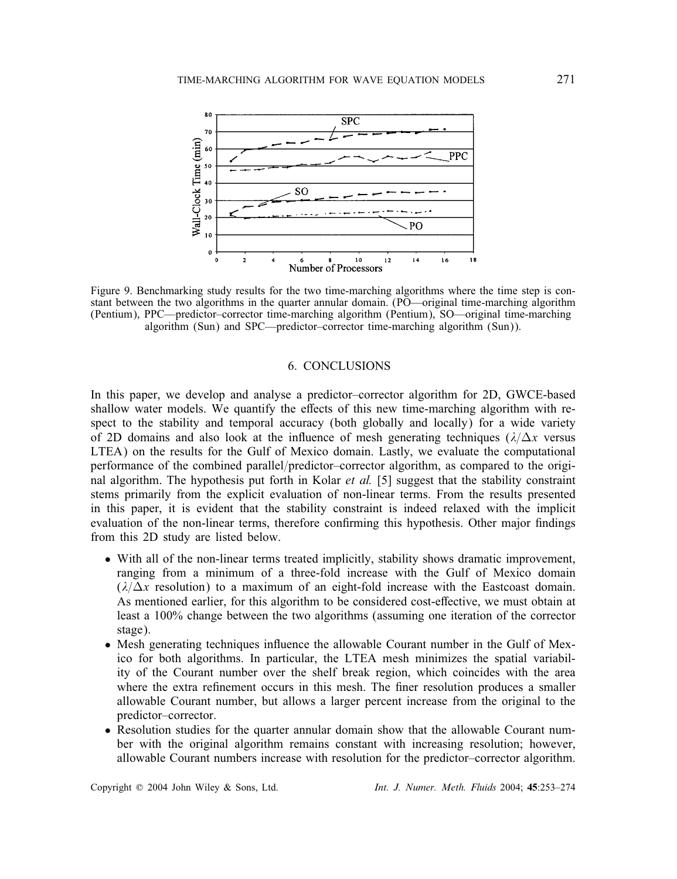

Figure 9. Benchmarking study results for the two time-marching algorithms where the time step is constant between the two algorithms in the quarter annular domain. (PO—original time-marching algorithm (Pentium), PPC—predictor–corrector time-marching algorithm (Pentium), SO—original time-marching algorithm (Sun) and SPC—predictor–corrector time-marching algorithm (Sun)).

## 6. CONCLUSIONS

In this paper, we develop and analyse a predictor–corrector algorithm for 2D, GWCE-based shallow water models. We quantify the effects of this new time-marching algorithm with respect to the stability and temporal accuracy (both globally and locally) for a wide variety of 2D domains and also look at the influence of mesh generating techniques  $(\lambda/\Delta x)$  versus LTEA) on the results for the Gulf of Mexico domain. Lastly, we evaluate the computational performance of the combined parallel/predictor–corrector algorithm, as compared to the original algorithm. The hypothesis put forth in Kolar *et al.* [5] suggest that the stability constraint stems primarily from the explicit evaluation of non-linear terms. From the results presented in this paper, it is evident that the stability constraint is indeed relaxed with the implicit evaluation of the non-linear terms, therefore confirming this hypothesis. Other major findings from this 2D study are listed below.

- With all of the non-linear terms treated implicitly, stability shows dramatic improvement, ranging from a minimum of a three-fold increase with the Gulf of Mexico domain  $(\lambda/\Delta x$  resolution) to a maximum of an eight-fold increase with the Eastcoast domain. As mentioned earlier, for this algorithm to be considered cost-effective, we must obtain at least a 100% change between the two algorithms (assuming one iteration of the corrector stage).
- Mesh generating techniques influence the allowable Courant number in the Gulf of Mexico for both algorithms. In particular, the LTEA mesh minimizes the spatial variability of the Courant number over the shelf break region, which coincides with the area where the extra refinement occurs in this mesh. The finer resolution produces a smaller allowable Courant number, but allows a larger percent increase from the original to the predictor–corrector.
- Resolution studies for the quarter annular domain show that the allowable Courant number with the original algorithm remains constant with increasing resolution; however, allowable Courant numbers increase with resolution for the predictor–corrector algorithm.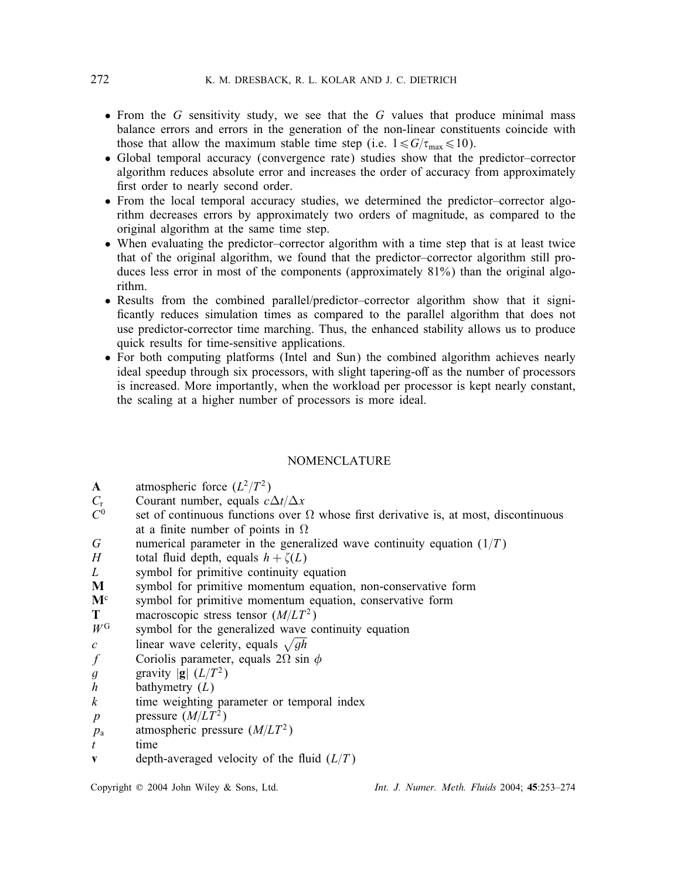- From the G sensitivity study, we see that the G values that produce minimal mass balance errors and errors in the generation of the non-linear constituents coincide with those that allow the maximum stable time step (i.e.  $1 \le G/\tau_{\text{max}} \le 10$ ).
- Global temporal accuracy (convergence rate) studies show that the predictor–corrector algorithm reduces absolute error and increases the order of accuracy from approximately first order to nearly second order.
- From the local temporal accuracy studies, we determined the predictor–corrector algorithm decreases errors by approximately two orders of magnitude, as compared to the original algorithm at the same time step.
- When evaluating the predictor–corrector algorithm with a time step that is at least twice that of the original algorithm, we found that the predictor–corrector algorithm still produces less error in most of the components (approximately 81%) than the original algorithm.
- Results from the combined parallel/predictor–corrector algorithm show that it signi ficantly reduces simulation times as compared to the parallel algorithm that does not use predictor-corrector time marching. Thus, the enhanced stability allows us to produce quick results for time-sensitive applications.
- For both computing platforms (Intel and Sun) the combined algorithm achieves nearly ideal speedup through six processors, with slight tapering-off as the number of processors is increased. More importantly, when the workload per processor is kept nearly constant, the scaling at a higher number of processors is more ideal.

## NOMENCLATURE

- **A** atmospheric force  $(L^2/T^2)$ <br>C<sub>r</sub> Courant number, equals c<sub>2</sub>
- $C_r$  Courant number, equals  $c\Delta t/\Delta x$ <br> $C^0$  set of continuous functions over 9
- $C^0$  set of continuous functions over  $\Omega$  whose first derivative is, at most, discontinuous at a finite number of points in O at a finite number of points in  $\Omega$
- G numerical parameter in the generalized wave continuity equation  $(1/T)$ <br>  $H$  total fluid denth equals  $h + \zeta(L)$
- H total fluid depth, equals  $h + \zeta(L)$ <br>L symbol for primitive continuity  $\epsilon$
- $L$  symbol for primitive continuity equation<br> $M$  symbol for primitive momentum equation
- symbol for primitive momentum equation, non-conservative form
- $M<sup>c</sup>$  symbol for primitive momentum equation, conservative form<br>
T macroscopic stress tensor  $(M/LT<sup>2</sup>)$
- **T** macroscopic stress tensor  $(M/LT^2)$ <br>w<sup>G</sup> symbol for the generalized wave co
- $W^G$  symbol for the generalized wave continuity equation<br>  $\frac{c}{\sqrt{gh}}$
- c linear wave celerity, equals  $\sqrt{gh}$ <br>f Coriolis parameter, equals 2 $\Omega$  sin
- f Coriolis parameter, equals  $2\Omega \sin \phi$ <br>q gravity  $|g| (L/T^2)$
- g gravity  $|\mathbf{g}| (L/T^2)$ <br>h bathymetry  $(L)$
- $h$  bathymetry  $(L)$ <br> $k$  time weighting
- k time weighting parameter or temporal index<br>p pressure  $(M/LT^2)$
- p pressure  $(M/LT^2)$ <br>p<sub>a</sub> atmospheric pressure
- $p_a$  atmospheric pressure  $(M/LT^2)$ <br>time
- $t$  time<br>  $\mathbf{v}$  dentl
- depth-averaged velocity of the fluid  $(L/T)$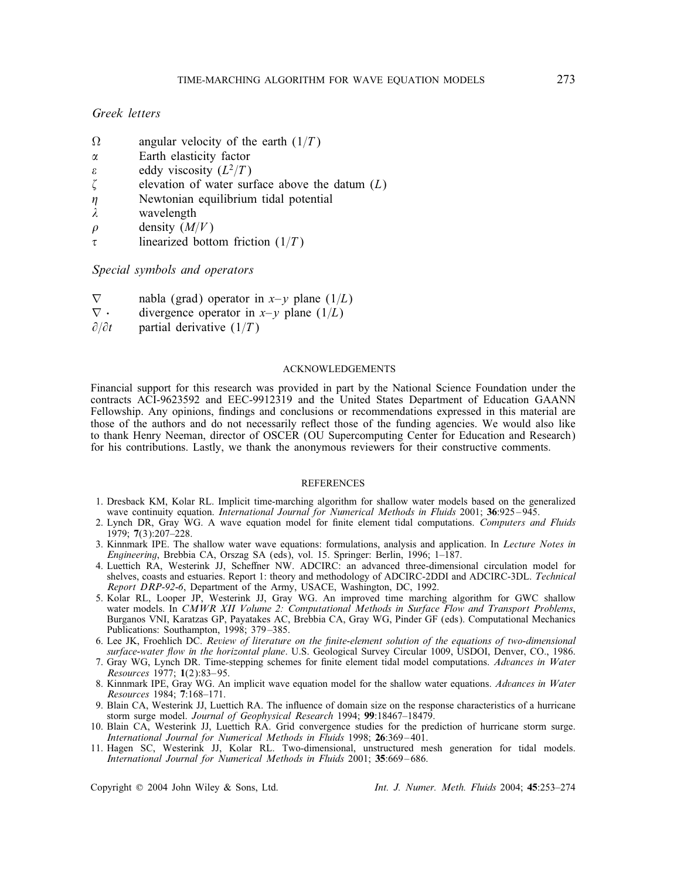## *Greek letters*

- $\Omega$  angular velocity of the earth (1/T)<br>  $\alpha$  Earth elasticity factor
- $\alpha$  Earth elasticity factor<br>eddy viscosity  $(L^2/T)$
- $\epsilon$  eddy viscosity  $(L^2/T)$ <br>
elevation of water sur-
- elevation of water surface above the datum  $(L)$
- $\eta$  $\eta$  Newtonian equilibrium tidal potential wavelength
- $\lambda$  wavelength<br>  $\rho$  density  $(M)$
- $\rho$  density  $(M/V)$ <br>  $\tau$  linearized botto
- linearized bottom friction  $(1/T)$

*Special symbols and operators*

- $\nabla$  nabla (grad) operator in x-y plane (1/L)<br> $\nabla \cdot$  divergence operator in x-y plane (1/L)
- $\nabla \cdot$  divergence operator in *x-y* plane (1/*L*)<br> $\partial/\partial t$  partial derivative (1/*T*)
- partial derivative  $(1/T)$

#### ACKNOWLEDGEMENTS

Financial support for this research was provided in part by the National Science Foundation under the contracts ACI-9623592 and EEC-9912319 and the United States Department of Education GAANN Fellowship. Any opinions, findings and conclusions or recommendations expressed in this material are those of the authors and do not necessarily reflect those of the funding agencies. We would also like to thank Henry Neeman, director of OSCER (OU Supercomputing Center for Education and Research) for his contributions. Lastly, we thank the anonymous reviewers for their constructive comments.

#### **REFERENCES**

- 1. Dresback KM, Kolar RL. Implicit time-marching algorithm for shallow water models based on the generalized wave continuity equation. *International Journal for Numerical Methods in Fluids* 2001; 36:925-945.
- 2. Lynch DR, Gray WG. A wave equation model for finite element tidal computations. Computers and Fluids 1979; 7(3):207–228.
- 3. Kinnmark IPE. The shallow water wave equations: formulations, analysis and application. In *Lecture Notes in Engineering*, Brebbia CA, Orszag SA (eds), vol. 15. Springer: Berlin, 1996; 1–187.
- 4. Luettich RA, Westerink JJ, Scheffner NW. ADCIRC: an advanced three-dimensional circulation model for shelves, coasts and estuaries. Report 1: theory and methodology of ADCIRC-2DDI and ADCIRC-3DL. *Technical Report DRP-92-6*, Department of the Army, USACE, Washington, DC, 1992.
- 5. Kolar RL, Looper JP, Westerink JJ, Gray WG. An improved time marching algorithm for GWC shallow water models. In *CMWR XII Volume 2: Computational Methods in Surface Flow and Transport Problems*, Burganos VNI, Karatzas GP, Payatakes AC, Brebbia CA, Gray WG, Pinder GF (eds). Computational Mechanics Publications: Southampton, 1998; 379 –385.
- 6. Lee JK, Froehlich DC. *Review of literature on the nite-element solution of the equations of two-dimensional* surface-water flow in the horizontal plane. U.S. Geological Survey Circular 1009, USDOI, Denver, CO., 1986.
- 7. Gray WG, Lynch DR. Time-stepping schemes for finite element tidal model computations. Advances in Water *Resources* 1977; 1(2):83– 95.
- 8. Kinnmark IPE, Gray WG. An implicit wave equation model for the shallow water equations. *Advances in Water Resources* 1984; 7:168–171.
- 9. Blain CA, Westerink JJ, Luettich RA. The influence of domain size on the response characteristics of a hurricane storm surge model. *Journal of Geophysical Research* 1994; 99:18467–18479.
- 10. Blain CA, Westerink JJ, Luettich RA. Grid convergence studies for the prediction of hurricane storm surge. *International Journal for Numerical Methods in Fluids* 1998; 26:369 – 401.
- 11. Hagen SC, Westerink JJ, Kolar RL. Two-dimensional, unstructured mesh generation for tidal models. *International Journal for Numerical Methods in Fluids* 2001: 35:669-686.